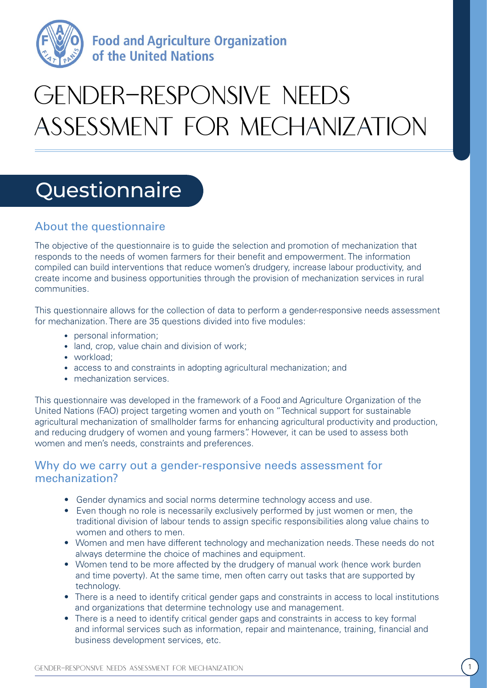

**Food and Agriculture Organization** of the United Nations

# GENDER-RESPONSIVE NFFDS assessment for mechanization

# Questionnaire

# About the questionnaire

The objective of the questionnaire is to guide the selection and promotion of mechanization that responds to the needs of women farmers for their benefit and empowerment. The information compiled can build interventions that reduce women's drudgery, increase labour productivity, and create income and business opportunities through the provision of mechanization services in rural communities.

This questionnaire allows for the collection of data to perform a gender-responsive needs assessment for mechanization. There are 35 questions divided into five modules:

- personal information;
- land, crop, value chain and division of work;
- workload:
- access to and constraints in adopting agricultural mechanization; and
- mechanization services.

CHINERE-RESPONSIVE INDEEDS<br>
ASSESSMENT FOR MECHANIZATION<br>
SUGGESSMENT FOR MECHANIZATION<br>
Properties of the mechanization is<br>
the properties of mechanization 10 is a mechanical mechanization 10 is<br>
composite in the mechani This questionnaire was developed in the framework of a Food and Agriculture Organization of the United Nations (FAO) project targeting women and youth on "Technical support for sustainable agricultural mechanization of smallholder farms for enhancing agricultural productivity and production, and reducing drudgery of women and young farmers". However, it can be used to assess both women and men's needs, constraints and preferences.

### Why do we carry out a gender-responsive needs assessment for mechanization?

- Gender dynamics and social norms determine technology access and use.
- Even though no role is necessarily exclusively performed by just women or men, the traditional division of labour tends to assign specific responsibilities along value chains to women and others to men.
- Women and men have different technology and mechanization needs. These needs do not always determine the choice of machines and equipment.
- Women tend to be more affected by the drudgery of manual work (hence work burden and time poverty). At the same time, men often carry out tasks that are supported by technology.
- There is a need to identify critical gender gaps and constraints in access to local institutions and organizations that determine technology use and management.
- There is a need to identify critical gender gaps and constraints in access to key formal and informal services such as information, repair and maintenance, training, financial and business development services, etc.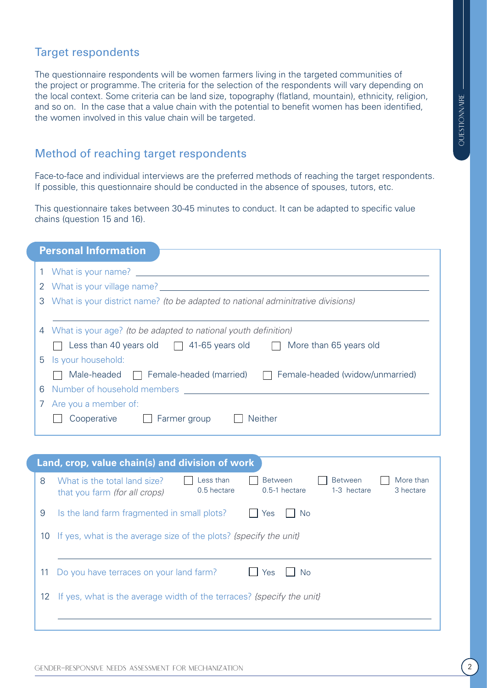# Target respondents

The questionnaire respondents will be women farmers living in the targeted communities of the project or programme. The criteria for the selection of the respondents will vary depending on the local context. Some criteria can be land size, topography (flatland, mountain), ethnicity, religion, and so on. In the case that a value chain with the potential to benefit women has been identified, the women involved in this value chain will be targeted.

## Method of reaching target respondents

| the women involved in this value chain will be targeted. |                                                                                                                                                                                                     |  |  |  |  |  |
|----------------------------------------------------------|-----------------------------------------------------------------------------------------------------------------------------------------------------------------------------------------------------|--|--|--|--|--|
|                                                          | Method of reaching target respondents                                                                                                                                                               |  |  |  |  |  |
|                                                          | Face-to-face and individual interviews are the preferred methods of reaching the target respondents.<br>If possible, this questionnaire should be conducted in the absence of spouses, tutors, etc. |  |  |  |  |  |
|                                                          | This questionnaire takes between 30-45 minutes to conduct. It can be adapted to specific value<br>chains (question 15 and 16).                                                                      |  |  |  |  |  |
|                                                          | <b>Personal Information</b>                                                                                                                                                                         |  |  |  |  |  |
|                                                          |                                                                                                                                                                                                     |  |  |  |  |  |
|                                                          |                                                                                                                                                                                                     |  |  |  |  |  |
|                                                          | 3 What is your district name? (to be adapted to national adminitrative divisions)                                                                                                                   |  |  |  |  |  |
|                                                          | 4 What is your age? (to be adapted to national youth definition)                                                                                                                                    |  |  |  |  |  |
|                                                          |                                                                                                                                                                                                     |  |  |  |  |  |
|                                                          | Less than 40 years old $\Box$ 41-65 years old $\Box$ More than 65 years old                                                                                                                         |  |  |  |  |  |
|                                                          | Is your household:                                                                                                                                                                                  |  |  |  |  |  |
|                                                          | Male-headed $\Box$ Female-headed (married) $\Box$ Female-headed (widow/unmarried)                                                                                                                   |  |  |  |  |  |
|                                                          | Number of household members and a state of the state of the state of the state of the state of the state of the                                                                                     |  |  |  |  |  |
|                                                          | Are you a member of:<br><b>Neither</b><br>Cooperative<br>Farmer group                                                                                                                               |  |  |  |  |  |
|                                                          |                                                                                                                                                                                                     |  |  |  |  |  |
|                                                          | Land, crop, value chain(s) and division of work                                                                                                                                                     |  |  |  |  |  |
|                                                          | Less than<br>What is the total land size?<br><b>Between</b><br><b>Between</b><br>More than<br>0.5-1 hectare<br>0.5 hectare<br>1-3 hectare<br>3 hectare<br>that you farm (for all crops)             |  |  |  |  |  |
| $\sqrt{2}$                                               | Is the land farm fragmented in small plots?<br><b>No</b><br>Yes                                                                                                                                     |  |  |  |  |  |
| 10                                                       | If yes, what is the average size of the plots? (specify the unit)                                                                                                                                   |  |  |  |  |  |
| 11                                                       | Do you have terraces on your land farm?<br><b>No</b><br>Yes                                                                                                                                         |  |  |  |  |  |
| 5<br>6<br>8<br>9<br>12                                   | If yes, what is the average width of the terraces? (specify the unit)                                                                                                                               |  |  |  |  |  |

| Land, crop, value chain(s) and division of work |                                                                                                                                                                                           |  |  |  |  |  |  |  |
|-------------------------------------------------|-------------------------------------------------------------------------------------------------------------------------------------------------------------------------------------------|--|--|--|--|--|--|--|
| 8                                               | Less than<br><b>Between</b><br>More than<br><b>Between</b><br>What is the total land size?<br>0.5 hectare<br>$0.5-1$ hectare<br>1-3 hectare<br>3 hectare<br>that you farm (for all crops) |  |  |  |  |  |  |  |
| 9                                               | Is the land farm fragmented in small plots?<br>Yes<br>No.                                                                                                                                 |  |  |  |  |  |  |  |
| 10                                              | If yes, what is the average size of the plots? (specify the unit)                                                                                                                         |  |  |  |  |  |  |  |
| 11                                              | Do you have terraces on your land farm?<br>Yes<br><b>No</b>                                                                                                                               |  |  |  |  |  |  |  |
| 12                                              | If yes, what is the average width of the terraces? (specify the unit)                                                                                                                     |  |  |  |  |  |  |  |
|                                                 |                                                                                                                                                                                           |  |  |  |  |  |  |  |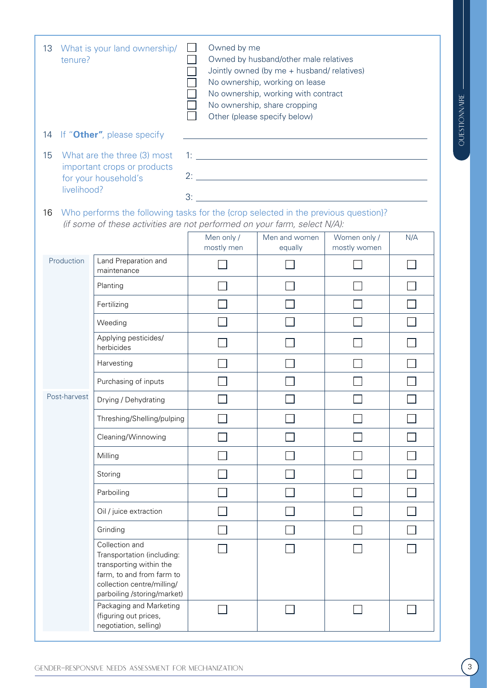| 13<br>tenure?     | Owned by me<br>What is your land ownership/<br>$\Box$<br>Owned by husband/other male relatives<br>Jointly owned (by me + husband/ relatives)<br>No ownership, working on lease<br>No ownership, working with contract<br>No ownership, share cropping<br>Other (please specify below) |                                                                                                                       |                          |                              |     |  |  |
|-------------------|---------------------------------------------------------------------------------------------------------------------------------------------------------------------------------------------------------------------------------------------------------------------------------------|-----------------------------------------------------------------------------------------------------------------------|--------------------------|------------------------------|-----|--|--|
| 14                | If "Other", please specify                                                                                                                                                                                                                                                            | <u> 1989 - Johann Barn, mars ann an t-Amhain Aonaichte ann an t-Aonaichte ann an t-Aonaichte ann an t-Aonaichte a</u> |                          |                              |     |  |  |
| 15<br>livelihood? | What are the three (3) most<br>important crops or products<br>for your household's                                                                                                                                                                                                    |                                                                                                                       |                          |                              |     |  |  |
| 16                | Who performs the following tasks for the {crop selected in the previous question}?<br>(if some of these activities are not performed on your farm, select N/A):                                                                                                                       |                                                                                                                       |                          |                              |     |  |  |
|                   |                                                                                                                                                                                                                                                                                       | Men only /<br>mostly men                                                                                              | Men and women<br>equally | Women only /<br>mostly women | N/A |  |  |
| Production        | Land Preparation and<br>maintenance                                                                                                                                                                                                                                                   |                                                                                                                       |                          |                              |     |  |  |
|                   | Planting                                                                                                                                                                                                                                                                              |                                                                                                                       |                          |                              |     |  |  |
|                   | Fertilizing                                                                                                                                                                                                                                                                           |                                                                                                                       |                          |                              |     |  |  |
|                   | Weeding                                                                                                                                                                                                                                                                               |                                                                                                                       |                          |                              |     |  |  |
|                   | Applying pesticides/<br>herbicides                                                                                                                                                                                                                                                    |                                                                                                                       |                          |                              |     |  |  |
|                   | Harvesting                                                                                                                                                                                                                                                                            |                                                                                                                       |                          |                              |     |  |  |
|                   | Purchasing of inputs                                                                                                                                                                                                                                                                  |                                                                                                                       |                          |                              |     |  |  |
| Post-harvest      | Drying / Dehydrating                                                                                                                                                                                                                                                                  |                                                                                                                       |                          |                              |     |  |  |
|                   | Threshing/Shelling/pulping                                                                                                                                                                                                                                                            |                                                                                                                       |                          |                              |     |  |  |
|                   | Cleaning/Winnowing                                                                                                                                                                                                                                                                    |                                                                                                                       |                          |                              |     |  |  |
|                   | Milling                                                                                                                                                                                                                                                                               |                                                                                                                       |                          |                              |     |  |  |
|                   | Storing                                                                                                                                                                                                                                                                               |                                                                                                                       |                          |                              |     |  |  |
|                   | Parboiling                                                                                                                                                                                                                                                                            |                                                                                                                       |                          |                              |     |  |  |
|                   | Oil / juice extraction                                                                                                                                                                                                                                                                |                                                                                                                       |                          |                              |     |  |  |
|                   | Grinding                                                                                                                                                                                                                                                                              |                                                                                                                       |                          |                              |     |  |  |
|                   | Collection and<br>Transportation (including:<br>transporting within the<br>farm, to and from farm to<br>collection centre/milling/<br>parboiling /storing/market)<br>Packaging and Marketing                                                                                          |                                                                                                                       |                          |                              |     |  |  |
|                   | (figuring out prices,<br>negotiation, selling)                                                                                                                                                                                                                                        |                                                                                                                       |                          |                              |     |  |  |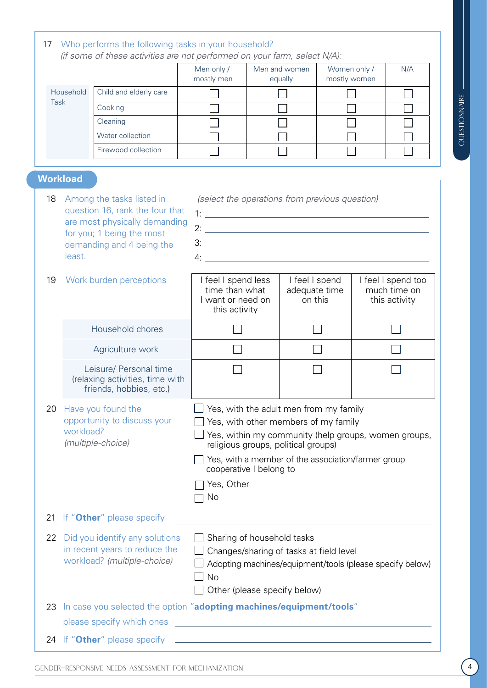|             |                                                                                                      |                                                                     | Men only /<br>mostly men                                                                                                                                                                                                                                                                                                                                                                              |                                                                                              | Men and women<br>equally |                          | Women only /<br>mostly women  | N/A |  |
|-------------|------------------------------------------------------------------------------------------------------|---------------------------------------------------------------------|-------------------------------------------------------------------------------------------------------------------------------------------------------------------------------------------------------------------------------------------------------------------------------------------------------------------------------------------------------------------------------------------------------|----------------------------------------------------------------------------------------------|--------------------------|--------------------------|-------------------------------|-----|--|
| Household   |                                                                                                      | Child and elderly care                                              |                                                                                                                                                                                                                                                                                                                                                                                                       |                                                                                              |                          |                          |                               |     |  |
| <b>Task</b> |                                                                                                      | Cooking                                                             |                                                                                                                                                                                                                                                                                                                                                                                                       |                                                                                              |                          |                          |                               |     |  |
|             |                                                                                                      | Cleaning                                                            |                                                                                                                                                                                                                                                                                                                                                                                                       |                                                                                              |                          |                          |                               |     |  |
|             |                                                                                                      | Water collection                                                    |                                                                                                                                                                                                                                                                                                                                                                                                       |                                                                                              |                          |                          |                               |     |  |
|             |                                                                                                      | Firewood collection                                                 |                                                                                                                                                                                                                                                                                                                                                                                                       |                                                                                              |                          |                          |                               |     |  |
|             | <b>Workload</b>                                                                                      |                                                                     |                                                                                                                                                                                                                                                                                                                                                                                                       |                                                                                              |                          |                          |                               |     |  |
| 18          |                                                                                                      | Among the tasks listed in                                           | (select the operations from previous question)                                                                                                                                                                                                                                                                                                                                                        |                                                                                              |                          |                          |                               |     |  |
|             | question 16, rank the four that<br>are most physically demanding<br>for you; 1 being the most        |                                                                     |                                                                                                                                                                                                                                                                                                                                                                                                       |                                                                                              |                          |                          |                               |     |  |
|             |                                                                                                      |                                                                     |                                                                                                                                                                                                                                                                                                                                                                                                       |                                                                                              |                          |                          |                               |     |  |
|             |                                                                                                      | demanding and 4 being the                                           | $3:$ $\overline{\phantom{a}}$ $3:$ $\overline{\phantom{a}}$ $3:$ $\overline{\phantom{a}}$ $3:$ $\overline{\phantom{a}}$ $3:$ $\overline{\phantom{a}}$ $3:$ $\overline{\phantom{a}}$ $3:$ $\overline{\phantom{a}}$ $3:$ $\overline{\phantom{a}}$ $3:$ $\overline{\phantom{a}}$ $3:$ $\overline{\phantom{a}}$ $3:$ $\overline{\phantom{a}}$ $3:$ $\overline{\phantom{a}}$ $3:$ $\overline{\phantom{a}}$ |                                                                                              |                          |                          |                               |     |  |
|             | least.                                                                                               |                                                                     | $4:$ $\overline{\phantom{a}}$                                                                                                                                                                                                                                                                                                                                                                         |                                                                                              |                          |                          |                               |     |  |
| 19          | Work burden perceptions                                                                              |                                                                     | I feel I spend less                                                                                                                                                                                                                                                                                                                                                                                   |                                                                                              | I feel I spend           |                          | I feel I spend too            |     |  |
|             |                                                                                                      |                                                                     |                                                                                                                                                                                                                                                                                                                                                                                                       | time than what<br>I want or need on                                                          |                          | adequate time<br>on this | much time on<br>this activity |     |  |
|             |                                                                                                      |                                                                     | this activity                                                                                                                                                                                                                                                                                                                                                                                         |                                                                                              |                          |                          |                               |     |  |
|             | Household chores                                                                                     |                                                                     |                                                                                                                                                                                                                                                                                                                                                                                                       |                                                                                              |                          |                          |                               |     |  |
|             |                                                                                                      | Agriculture work                                                    |                                                                                                                                                                                                                                                                                                                                                                                                       |                                                                                              |                          |                          |                               |     |  |
|             |                                                                                                      | Leisure/ Personal time                                              |                                                                                                                                                                                                                                                                                                                                                                                                       |                                                                                              |                          |                          |                               |     |  |
|             |                                                                                                      | (relaxing activities, time with<br>friends, hobbies, etc.)          |                                                                                                                                                                                                                                                                                                                                                                                                       |                                                                                              |                          |                          |                               |     |  |
| 20          |                                                                                                      |                                                                     | Yes, with the adult men from my family                                                                                                                                                                                                                                                                                                                                                                |                                                                                              |                          |                          |                               |     |  |
|             | Have you found the<br>opportunity to discuss your<br>workload?                                       |                                                                     |                                                                                                                                                                                                                                                                                                                                                                                                       |                                                                                              |                          |                          |                               |     |  |
|             |                                                                                                      |                                                                     |                                                                                                                                                                                                                                                                                                                                                                                                       | Yes, with other members of my family<br>Yes, within my community (help groups, women groups, |                          |                          |                               |     |  |
|             |                                                                                                      | (multiple-choice)                                                   |                                                                                                                                                                                                                                                                                                                                                                                                       | religious groups, political groups)                                                          |                          |                          |                               |     |  |
|             |                                                                                                      |                                                                     |                                                                                                                                                                                                                                                                                                                                                                                                       | Yes, with a member of the association/farmer group<br>cooperative I belong to                |                          |                          |                               |     |  |
|             |                                                                                                      |                                                                     | Yes, Other                                                                                                                                                                                                                                                                                                                                                                                            |                                                                                              |                          |                          |                               |     |  |
|             |                                                                                                      |                                                                     | No                                                                                                                                                                                                                                                                                                                                                                                                    |                                                                                              |                          |                          |                               |     |  |
| 21          |                                                                                                      | If "Other" please specify                                           |                                                                                                                                                                                                                                                                                                                                                                                                       |                                                                                              |                          |                          |                               |     |  |
| 22          |                                                                                                      | Did you identify any solutions                                      |                                                                                                                                                                                                                                                                                                                                                                                                       | Sharing of household tasks                                                                   |                          |                          |                               |     |  |
|             | in recent years to reduce the<br>workload? (multiple-choice)                                         |                                                                     |                                                                                                                                                                                                                                                                                                                                                                                                       | Changes/sharing of tasks at field level                                                      |                          |                          |                               |     |  |
|             |                                                                                                      |                                                                     |                                                                                                                                                                                                                                                                                                                                                                                                       | Adopting machines/equipment/tools (please specify below)                                     |                          |                          |                               |     |  |
|             |                                                                                                      |                                                                     | No                                                                                                                                                                                                                                                                                                                                                                                                    |                                                                                              |                          |                          |                               |     |  |
| 23          |                                                                                                      | In case you selected the option "adopting machines/equipment/tools" |                                                                                                                                                                                                                                                                                                                                                                                                       | Other (please specify below)                                                                 |                          |                          |                               |     |  |
|             |                                                                                                      | please specify which ones                                           | <u> 1989 - Johann Barbara, martxa alemaniar argumento este alemaniar alemaniar alemaniar alemaniar alemaniar al</u>                                                                                                                                                                                                                                                                                   |                                                                                              |                          |                          |                               |     |  |
|             | <u> 1980 - Johann Barn, mars an t-Amerikaansk politiker (* 1908)</u><br>24 If "Other" please specify |                                                                     |                                                                                                                                                                                                                                                                                                                                                                                                       |                                                                                              |                          |                          |                               |     |  |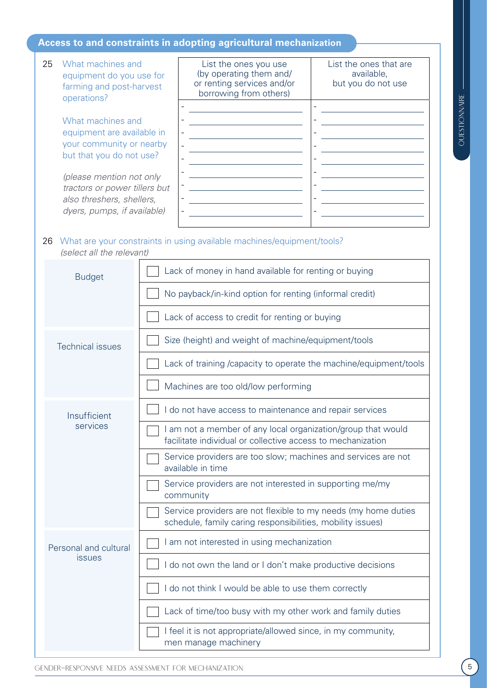#### **Access to and constraints in adopting agricultural mechanization**

Specialized the contents as the definition of mechanization of the mechanization of mechanization of properties as the mechanization of properties as a content of mechanization of properties as a content of mechanization 25 What machines and equipment do you use for farming and post-harvest operations? What machines and equipment are available in your community or nearby but that you do not use? *(please mention not only tractors or power tillers but also threshers, shellers, dyers, pumps, if available)* List the ones you use (by operating them and/ or renting services and/or borrowing from others) List the ones that are available, but you do not use - - - - - - - - - - - - - - - - - - 26 What are your constraints in using available machines/equipment/tools? *(select all the relevant)* Budget **Lack of money in hand available for renting or buying** No payback/in-kind option for renting (informal credit) Lack of access to credit for renting or buying  $Technical issues$   $\Box$  Size (height) and weight of machine/equipment/tools Lack of training /capacity to operate the machine/equipment/tools Machines are too old/low performing Insufficient services I do not have access to maintenance and repair services I am not a member of any local organization/group that would facilitate individual or collective access to mechanization Service providers are too slow; machines and services are not available in time Service providers are not interested in supporting me/my community Service providers are not flexible to my needs (my home duties schedule, family caring responsibilities, mobility issues) Personal and cultural issues I am not interested in using mechanization I do not own the land or I don't make productive decisions I do not think I would be able to use them correctly Lack of time/too busy with my other work and family duties I feel it is not appropriate/allowed since, in my community, men manage machinery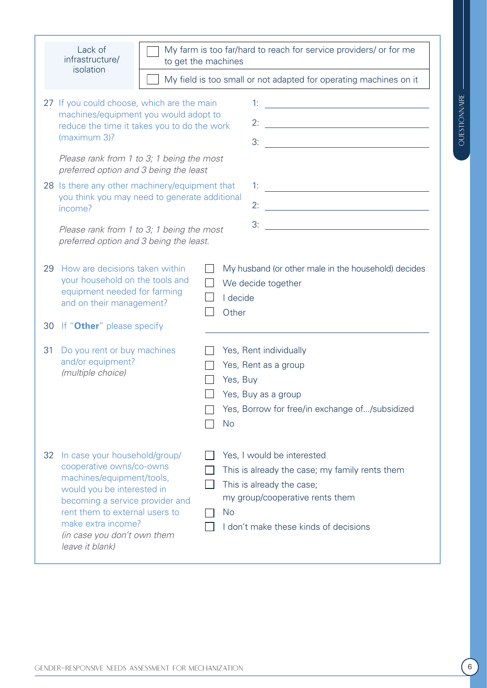| 27 If you could choose, which are the main<br>machines/equipment you would adopt to<br>reduce the time it takes you to do the work<br>(maximum 3)?<br>Please rank from 1 to 3; 1 being the most<br>preferred option and 3 being the least                               | 1:<br><u> 1999 - Johann Harry Harry Harry Harry Harry Harry Harry Harry Harry Harry Harry Harry Harry Harry Harry Harry</u>                                                                        |
|-------------------------------------------------------------------------------------------------------------------------------------------------------------------------------------------------------------------------------------------------------------------------|----------------------------------------------------------------------------------------------------------------------------------------------------------------------------------------------------|
| 28 Is there any other machinery/equipment that<br>you think you may need to generate additional<br>income?<br>Please rank from 1 to 3; 1 being the most<br>preferred option and 3 being the least.                                                                      | <u> 1980 - Johann Barn, mars eta bainar eta idazlea (</u><br>2:<br><u> 1989 - Johann Barn, mars eta bainar eta baina eta baina eta baina eta baina eta baina eta baina eta baina e</u><br>3:       |
| How are decisions taken within<br>29<br>your household on the tools and<br>equipment needed for farming<br>and on their management?                                                                                                                                     | My husband (or other male in the household) decides<br>We decide together<br>I decide<br>Other                                                                                                     |
| If "Other" please specify<br>30<br>Do you rent or buy machines<br>31<br>and/or equipment?<br>(multiple choice)                                                                                                                                                          | Yes, Rent individually<br>Yes, Rent as a group<br>Yes, Buy<br>Yes, Buy as a group<br>Yes, Borrow for free/in exchange of/subsidized<br><b>No</b>                                                   |
| In case your household/group/<br>32<br>cooperative owns/co-owns<br>machines/equipment/tools,<br>would you be interested in<br>becoming a service provider and<br>rent them to external users to<br>make extra income?<br>(in case you don't own them<br>leave it blank) | Yes, I would be interested<br>This is already the case; my family rents them<br>This is already the case;<br>my group/cooperative rents them<br><b>No</b><br>I don't make these kinds of decisions |